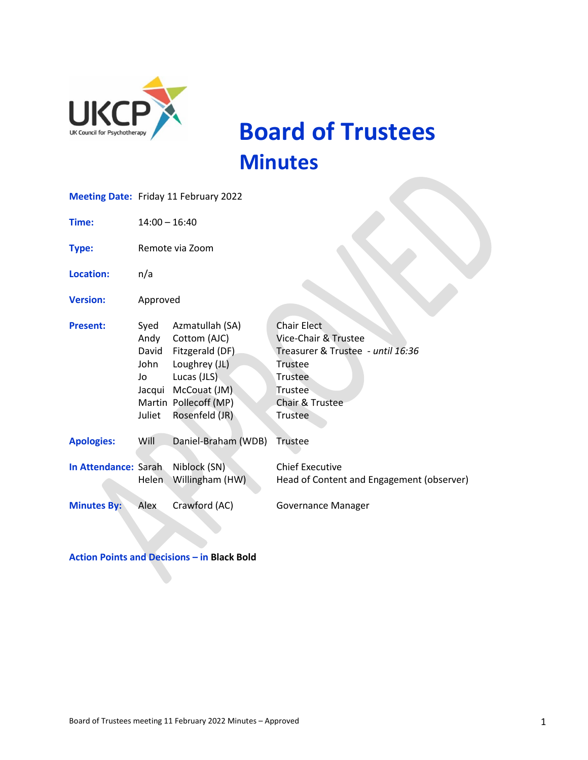

 **Board of Trustees Minutes**

|                      | <b>Meeting Date: Friday 11 February 2022</b>            |                                                                                                                                               |                                                                                                                                                |
|----------------------|---------------------------------------------------------|-----------------------------------------------------------------------------------------------------------------------------------------------|------------------------------------------------------------------------------------------------------------------------------------------------|
| Time:                | $14:00 - 16:40$                                         |                                                                                                                                               |                                                                                                                                                |
| <b>Type:</b>         | Remote via Zoom                                         |                                                                                                                                               |                                                                                                                                                |
| <b>Location:</b>     | n/a                                                     |                                                                                                                                               |                                                                                                                                                |
| <b>Version:</b>      | Approved                                                |                                                                                                                                               |                                                                                                                                                |
| <b>Present:</b>      | Syed<br>Andy<br>David<br>John<br>Jo<br>Jacqui<br>Juliet | Azmatullah (SA)<br>Cottom (AJC)<br>Fitzgerald (DF)<br>Loughrey (JL)<br>Lucas (JLS)<br>McCouat (JM)<br>Martin Pollecoff (MP)<br>Rosenfeld (JR) | <b>Chair Elect</b><br>Vice-Chair & Trustee<br>Treasurer & Trustee - until 16:36<br>Trustee<br>Trustee<br>Trustee<br>Chair & Trustee<br>Trustee |
| <b>Apologies:</b>    | Will                                                    | Daniel-Braham (WDB)                                                                                                                           | Trustee                                                                                                                                        |
| In Attendance: Sarah | <b>Helen</b>                                            | Niblock (SN)<br>Willingham (HW)                                                                                                               | <b>Chief Executive</b><br>Head of Content and Engagement (observer)                                                                            |
| <b>Minutes By:</b>   | Alex                                                    | Crawford (AC)                                                                                                                                 | Governance Manager                                                                                                                             |

**Action Points and Decisions – in Black Bold**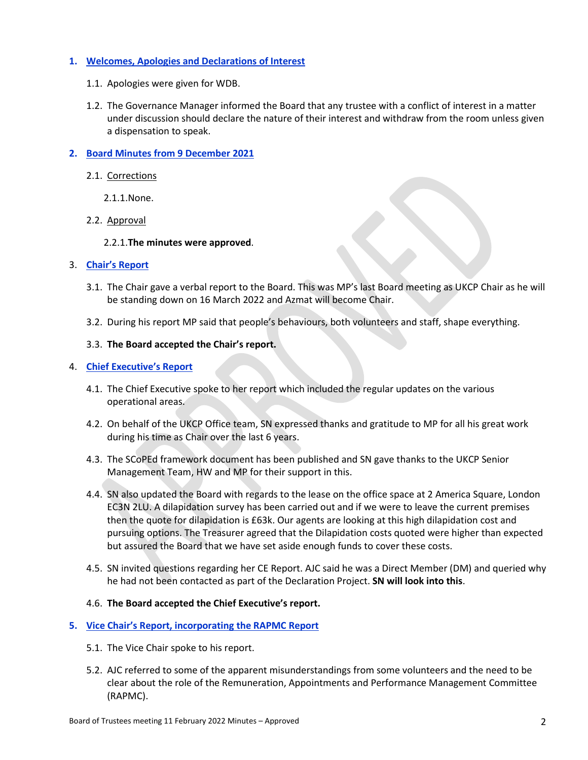# **1. Welcomes, Apologies and Declarations of Interest**

- 1.1. Apologies were given for WDB.
- 1.2. The Governance Manager informed the Board that any trustee with a conflict of interest in a matter under discussion should declare the nature of their interest and withdraw from the room unless given a dispensation to speak.

# **2. Board Minutes from 9 December 2021**

- 2.1. Corrections
	- 2.1.1.None.
- 2.2. Approval

## 2.2.1.**The minutes were approved**.

## 3. **Chair's Report**

- 3.1. The Chair gave a verbal report to the Board. This was MP's last Board meeting as UKCP Chair as he will be standing down on 16 March 2022 and Azmat will become Chair.
- 3.2. During his report MP said that people's behaviours, both volunteers and staff, shape everything.

## 3.3. **The Board accepted the Chair's report.**

## 4. **Chief Executive's Report**

- 4.1. The Chief Executive spoke to her report which included the regular updates on the various operational areas.
- 4.2. On behalf of the UKCP Office team, SN expressed thanks and gratitude to MP for all his great work during his time as Chair over the last 6 years.
- 4.3. The SCoPEd framework document has been published and SN gave thanks to the UKCP Senior Management Team, HW and MP for their support in this.
- 4.4. SN also updated the Board with regards to the lease on the office space at 2 America Square, London EC3N 2LU. A dilapidation survey has been carried out and if we were to leave the current premises then the quote for dilapidation is £63k. Our agents are looking at this high dilapidation cost and pursuing options. The Treasurer agreed that the Dilapidation costs quoted were higher than expected but assured the Board that we have set aside enough funds to cover these costs.
- 4.5. SN invited questions regarding her CE Report. AJC said he was a Direct Member (DM) and queried why he had not been contacted as part of the Declaration Project. **SN will look into this**.

# 4.6. **The Board accepted the Chief Executive's report.**

### **5. Vice Chair's Report, incorporating the RAPMC Report**

- 5.1. The Vice Chair spoke to his report.
- 5.2. AJC referred to some of the apparent misunderstandings from some volunteers and the need to be clear about the role of the Remuneration, Appointments and Performance Management Committee (RAPMC).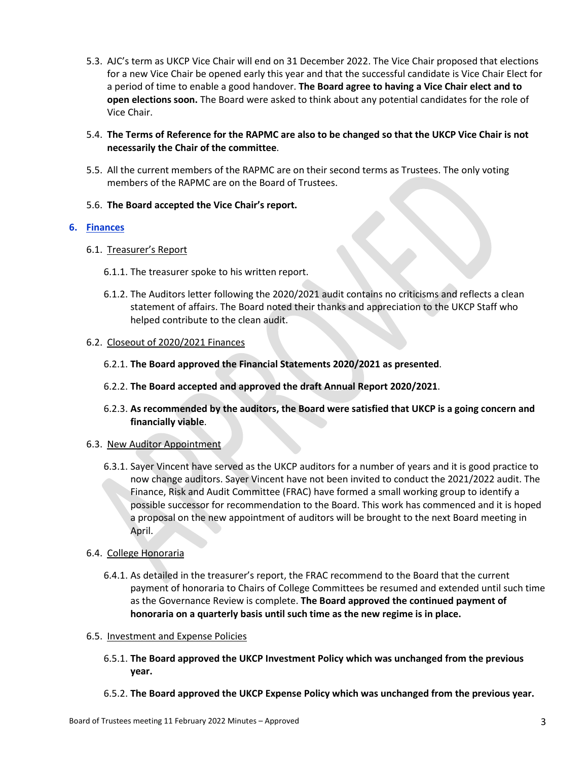- 5.3. AJC's term as UKCP Vice Chair will end on 31 December 2022. The Vice Chair proposed that elections for a new Vice Chair be opened early this year and that the successful candidate is Vice Chair Elect for a period of time to enable a good handover. **The Board agree to having a Vice Chair elect and to open elections soon.** The Board were asked to think about any potential candidates for the role of Vice Chair.
- 5.4. **The Terms of Reference for the RAPMC are also to be changed so that the UKCP Vice Chair is not necessarily the Chair of the committee**.
- 5.5. All the current members of the RAPMC are on their second terms as Trustees. The only voting members of the RAPMC are on the Board of Trustees.
- 5.6. **The Board accepted the Vice Chair's report.**

# **6. Finances**

- 6.1. Treasurer's Report
	- 6.1.1. The treasurer spoke to his written report.
	- 6.1.2. The Auditors letter following the 2020/2021 audit contains no criticisms and reflects a clean statement of affairs. The Board noted their thanks and appreciation to the UKCP Staff who helped contribute to the clean audit.

# 6.2. Closeout of 2020/2021 Finances

- 6.2.1. **The Board approved the Financial Statements 2020/2021 as presented**.
- 6.2.2. **The Board accepted and approved the draft Annual Report 2020/2021**.
- 6.2.3. **As recommended by the auditors, the Board were satisfied that UKCP is a going concern and financially viable**.

# 6.3. New Auditor Appointment

6.3.1. Sayer Vincent have served as the UKCP auditors for a number of years and it is good practice to now change auditors. Sayer Vincent have not been invited to conduct the 2021/2022 audit. The Finance, Risk and Audit Committee (FRAC) have formed a small working group to identify a possible successor for recommendation to the Board. This work has commenced and it is hoped a proposal on the new appointment of auditors will be brought to the next Board meeting in April.

# 6.4. College Honoraria

- 6.4.1. As detailed in the treasurer's report, the FRAC recommend to the Board that the current payment of honoraria to Chairs of College Committees be resumed and extended until such time as the Governance Review is complete. **The Board approved the continued payment of honoraria on a quarterly basis until such time as the new regime is in place.**
- 6.5. Investment and Expense Policies
	- 6.5.1. **The Board approved the UKCP Investment Policy which was unchanged from the previous year.**
	- 6.5.2. **The Board approved the UKCP Expense Policy which was unchanged from the previous year.**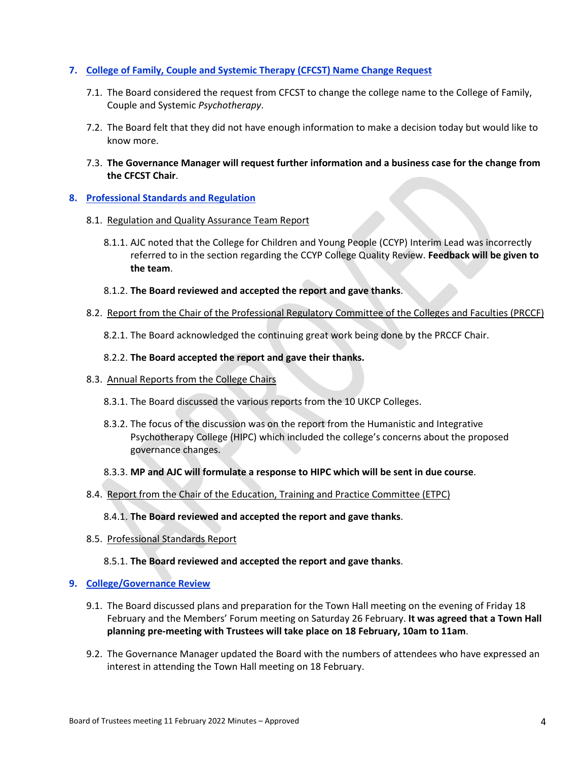# **7. College of Family, Couple and Systemic Therapy (CFCST) Name Change Request**

- 7.1. The Board considered the request from CFCST to change the college name to the College of Family, Couple and Systemic *Psychotherapy*.
- 7.2. The Board felt that they did not have enough information to make a decision today but would like to know more.
- 7.3. **The Governance Manager will request further information and a business case for the change from the CFCST Chair**.

# **8. Professional Standards and Regulation**

### 8.1. Regulation and Quality Assurance Team Report

8.1.1. AJC noted that the College for Children and Young People (CCYP) Interim Lead was incorrectly referred to in the section regarding the CCYP College Quality Review. **Feedback will be given to the team**.

## 8.1.2. **The Board reviewed and accepted the report and gave thanks**.

- 8.2. Report from the Chair of the Professional Regulatory Committee of the Colleges and Faculties (PRCCF)
	- 8.2.1. The Board acknowledged the continuing great work being done by the PRCCF Chair.

## 8.2.2. **The Board accepted the report and gave their thanks.**

### 8.3. Annual Reports from the College Chairs

- 8.3.1. The Board discussed the various reports from the 10 UKCP Colleges.
- 8.3.2. The focus of the discussion was on the report from the Humanistic and Integrative Psychotherapy College (HIPC) which included the college's concerns about the proposed governance changes.
- 8.3.3. **MP and AJC will formulate a response to HIPC which will be sent in due course**.

### 8.4. Report from the Chair of the Education, Training and Practice Committee (ETPC)

### 8.4.1. **The Board reviewed and accepted the report and gave thanks**.

8.5. Professional Standards Report

# 8.5.1. **The Board reviewed and accepted the report and gave thanks**.

### **9. College/Governance Review**

- 9.1. The Board discussed plans and preparation for the Town Hall meeting on the evening of Friday 18 February and the Members' Forum meeting on Saturday 26 February. **It was agreed that a Town Hall planning pre-meeting with Trustees will take place on 18 February, 10am to 11am**.
- 9.2. The Governance Manager updated the Board with the numbers of attendees who have expressed an interest in attending the Town Hall meeting on 18 February.